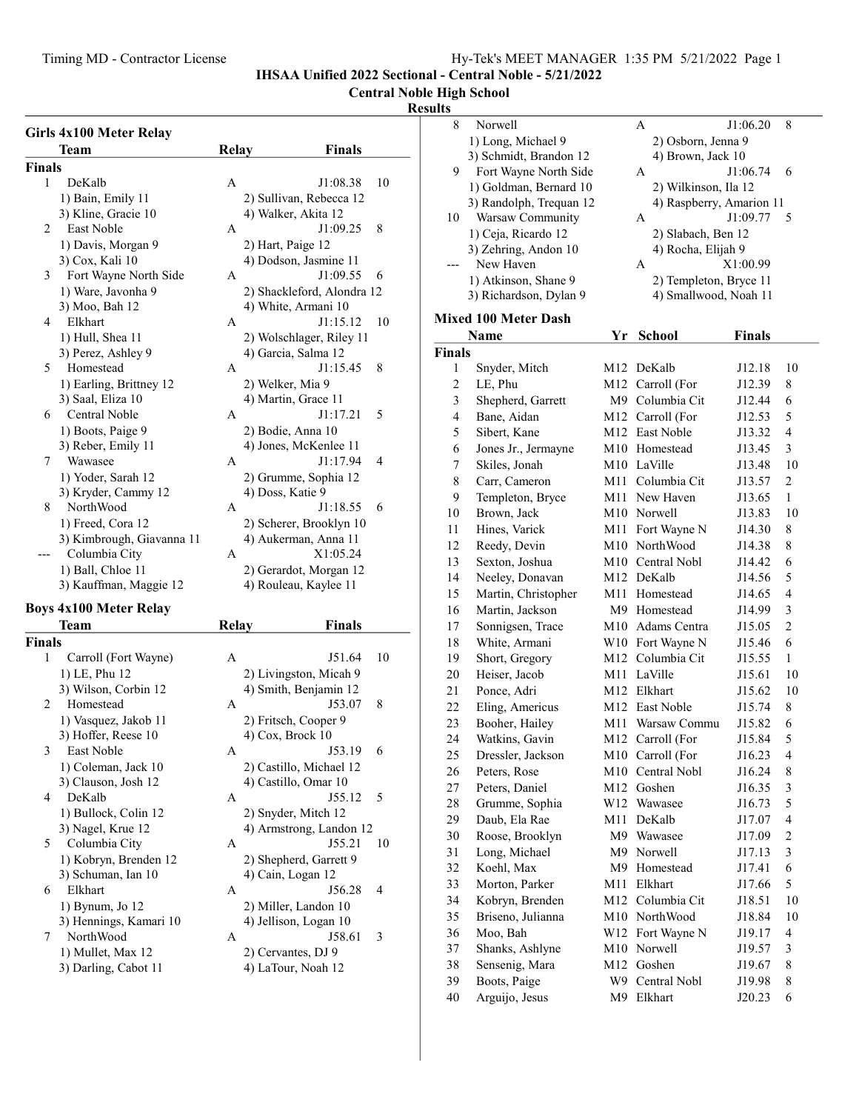8 J1:06.20 8 Norwell A 1) Long, Michael 9 2) Osborn, Jenna 9<br>
3) Schmidt, Brandon 12 4) Brown, Jack 10  $3)$  Schmidt, Brandon 12  $\qquad \qquad$  4) Brown, Jack 10

IHSAA Unified 2022 Sectional - Central Noble - 5/21/2022

## Central Noble High School

#### Results

|               | Girls 4x100 Meter Relay       |              |                            |    |
|---------------|-------------------------------|--------------|----------------------------|----|
|               | Team                          | <b>Relay</b> | Finals                     |    |
| <b>Finals</b> |                               |              |                            |    |
| 1             | DeKalb                        | A            | J1:08.38                   | 10 |
|               | 1) Bain, Emily 11             |              | 2) Sullivan, Rebecca 12    |    |
|               | 3) Kline, Gracie 10           |              | 4) Walker, Akita 12        |    |
| 2             | East Noble                    | А            | J1:09.25                   | 8  |
|               | 1) Davis, Morgan 9            |              | 2) Hart, Paige 12          |    |
|               | 3) Cox, Kali 10               |              | 4) Dodson, Jasmine 11      |    |
| 3             | Fort Wayne North Side         | A            | J1:09.55                   | 6  |
|               | 1) Ware, Javonha 9            |              | 2) Shackleford, Alondra 12 |    |
|               | 3) Moo, Bah 12                |              | 4) White, Armani 10        |    |
| 4             | Elkhart                       | A            | J1:15.12                   | 10 |
|               | 1) Hull, Shea 11              |              | 2) Wolschlager, Riley 11   |    |
|               | 3) Perez, Ashley 9            |              | 4) Garcia, Salma 12        |    |
| 5             | Homestead                     | A            | J1:15.45                   | 8  |
|               | 1) Earling, Brittney 12       |              | 2) Welker, Mia 9           |    |
|               | 3) Saal, Eliza 10             |              | 4) Martin, Grace 11        |    |
| 6             | Central Noble                 | A            | J1:17.21                   | 5  |
|               | 1) Boots, Paige 9             |              | 2) Bodie, Anna 10          |    |
|               | 3) Reber, Emily 11            |              | 4) Jones, McKenlee 11      |    |
| 7             | Wawasee                       | A            | J1:17.94                   | 4  |
|               | 1) Yoder, Sarah 12            |              | 2) Grumme, Sophia 12       |    |
|               | 3) Kryder, Cammy 12           |              | 4) Doss, Katie 9           |    |
| 8             | NorthWood                     | A            | J1:18.55                   | 6  |
|               | 1) Freed, Cora 12             |              | 2) Scherer, Brooklyn 10    |    |
|               | 3) Kimbrough, Giavanna 11     |              | 4) Aukerman, Anna 11       |    |
| $---$         | Columbia City                 | A            | X1:05.24                   |    |
|               | 1) Ball, Chloe 11             |              | 2) Gerardot, Morgan 12     |    |
|               | 3) Kauffman, Maggie 12        |              | 4) Rouleau, Kaylee 11      |    |
|               | <b>Boys 4x100 Meter Relay</b> |              |                            |    |
|               | <b>Team</b>                   | <b>Relay</b> | Finals                     |    |
| <b>Finals</b> |                               |              |                            |    |
| 1             | Carroll (Fort Wayne)          | A            | J51.64                     | 10 |
|               | 1) LE, Phu 12                 |              | 2) Livingston, Micah 9     |    |
|               | 3) Wilson, Corbin 12          |              | 4) Smith, Benjamin 12      |    |
| 2             | Homestead                     | A            | J53.07                     | 8  |
|               | 1) Vasquez, Jakob 11          |              | 2) Fritsch, Cooper 9       |    |
|               | 3) Hoffer, Reese 10           |              | 4) Cox, Brock 10           |    |
| 3             | East Noble                    | A            | J53.19                     | 6  |
|               | 1) Coleman, Jack 10           |              | 2) Castillo, Michael 12    |    |
|               | 3) Clauson, Josh 12           |              | 4) Castillo, Omar 10       |    |
| 4             | DeKalb                        | Α            | J55.12                     | 5  |
|               | 1) Bullock, Colin 12          |              | 2) Snyder, Mitch 12        |    |

5 Columbia City A

6 Elkhart A

7 NorthWood A

| DeKalb                    | A            | J1:08.38                   | 10      |                | 1) Goldman, Bernard 10      |     |
|---------------------------|--------------|----------------------------|---------|----------------|-----------------------------|-----|
| 1) Bain, Emily 11         |              | 2) Sullivan, Rebecca 12    |         |                | 3) Randolph, Trequan 12     |     |
| 3) Kline, Gracie 10       |              | 4) Walker, Akita 12        |         | 10             | Warsaw Community            |     |
| East Noble                | A            | J1:09.25                   | 8       |                | 1) Ceja, Ricardo 12         |     |
| 1) Davis, Morgan 9        |              | 2) Hart, Paige 12          |         |                | 3) Zehring, Andon 10        |     |
| 3) Cox, Kali 10           |              | 4) Dodson, Jasmine 11      |         | ---            | New Haven                   |     |
| Fort Wayne North Side     | A            | J1:09.55                   | 6       |                | 1) Atkinson, Shane 9        |     |
| 1) Ware, Javonha 9        |              | 2) Shackleford, Alondra 12 |         |                | 3) Richardson, Dylan 9      |     |
| 3) Moo, Bah 12            |              | 4) White, Armani 10        |         |                |                             |     |
| Elkhart                   | A            | J1:15.12                   | 10      |                | <b>Mixed 100 Meter Dash</b> |     |
| 1) Hull, Shea 11          |              | 2) Wolschlager, Riley 11   |         |                | Name                        | Y   |
| 3) Perez, Ashley 9        |              | 4) Garcia, Salma 12        |         | <b>Finals</b>  |                             |     |
| Homestead                 | A            | J1:15.45                   | $\,8\,$ | $\mathbf{1}$   | Snyder, Mitch               | M1  |
| 1) Earling, Brittney 12   |              | 2) Welker, Mia 9           |         | $\mathfrak{2}$ | LE, Phu                     | M1. |
| 3) Saal, Eliza 10         |              | 4) Martin, Grace 11        |         | 3              | Shepherd, Garrett           | M   |
| Central Noble             | A            | J1:17.21                   | 5       | $\overline{4}$ | Bane, Aidan                 | M1  |
| 1) Boots, Paige 9         |              | 2) Bodie, Anna 10          |         | 5              | Sibert, Kane                | M1  |
| 3) Reber, Emily 11        |              | 4) Jones, McKenlee 11      |         | 6              | Jones Jr., Jermayne         | M1  |
| Wawasee                   | A            | J1:17.94                   | 4       | $\tau$         | Skiles, Jonah               | M1  |
| 1) Yoder, Sarah 12        |              | 2) Grumme, Sophia 12       |         | $\,$ 8 $\,$    | Carr, Cameron               | M1  |
| 3) Kryder, Cammy 12       |              | 4) Doss, Katie 9           |         | 9              | Templeton, Bryce            | M1  |
| NorthWood                 | A            | J1:18.55                   | 6       | 10             | Brown, Jack                 | M1  |
| 1) Freed, Cora 12         |              | 2) Scherer, Brooklyn 10    |         | 11             | Hines, Varick               | M1  |
| 3) Kimbrough, Giavanna 11 |              | 4) Aukerman, Anna 11       |         | 12             | Reedy, Devin                | M1  |
| Columbia City             | A            | X1:05.24                   |         | 13             | Sexton, Joshua              | M1  |
| 1) Ball, Chloe 11         |              | 2) Gerardot, Morgan 12     |         | 14             | Neeley, Donavan             | M1  |
| 3) Kauffman, Maggie 12    |              | 4) Rouleau, Kaylee 11      |         | 15             | Martin, Christopher         | M1  |
| 4x100 Meter Relay         |              |                            |         | 16             | Martin, Jackson             | M   |
| Team                      | <b>Relay</b> | <b>Finals</b>              |         | 17             | Sonnigsen, Trace            | M1  |
| S                         |              |                            |         | 18             | White, Armani               | W1  |
| Carroll (Fort Wayne)      | A            | J51.64                     | 10      | 19             | Short, Gregory              | M1  |
| 1) LE, Phu 12             |              | 2) Livingston, Micah 9     |         | 20             | Heiser, Jacob               | M1  |
| 3) Wilson, Corbin 12      |              | 4) Smith, Benjamin 12      |         | 21             | Ponce, Adri                 | M1  |
| Homestead                 | A            | J53.07                     | 8       | 22             | Eling, Americus             | M1  |
| 1) Vasquez, Jakob 11      |              | 2) Fritsch, Cooper 9       |         | 23             | Booher, Hailey              | M1  |
| 3) Hoffer, Reese 10       |              | $(4)$ Cox, Brock 10        |         | 24             | Watkins, Gavin              | M1  |
| East Noble                | A            | J53.19                     | 6       | 25             | Dressler, Jackson           | M1  |
| 1) Coleman, Jack 10       |              | 2) Castillo, Michael 12    |         | 26             | Peters, Rose                | M1  |
| 3) Clauson, Josh 12       |              | 4) Castillo, Omar 10       |         | 27             | Peters, Daniel              | M1  |
| DeKalb                    | A            | J55.12                     | 5       | 28             | Grumme, Sophia              | W1  |
| 1) Bullock, Colin 12      |              | 2) Snyder, Mitch 12        |         | 29             | Daub, Ela Rae               | M1  |
| 3) Nagel, Krue 12         |              | 4) Armstrong, Landon 12    |         | 30             | Roose, Brooklyn             | M   |
| Columbia City             | A            | J55.21                     | 10      | 31             | Long, Michael               | M   |
| 1) Kobryn, Brenden 12     |              | 2) Shepherd, Garrett 9     |         | 32             |                             |     |
| 3) Schuman, Ian 10        |              | 4) Cain, Logan 12          |         |                | Koehl, Max                  | M   |
| Elkhart                   | A            | J56.28                     | 4       | 33             | Morton, Parker              | M1  |
| 1) Bynum, Jo 12           |              | 2) Miller, Landon 10       |         | 34             | Kobryn, Brenden             | M1  |
| 3) Hennings, Kamari 10    |              | 4) Jellison, Logan 10      |         | 35             | Briseno, Julianna           | M1  |
| NorthWood                 | A            | J58.61                     | 3       | 36             | Moo, Bah                    | W1  |
| 1) Mullet, Max 12         |              | 2) Cervantes, DJ 9         |         | 37             | Shanks, Ashlyne             | M1  |
| 3) Darling, Cabot 11      |              | 4) LaTour, Noah 12         |         | 38             | Sensenig, Mara              | M1  |

| 9<br>10        | Fort Wayne North Side<br>1) Goldman, Bernard 10<br>3) Randolph, Trequan 12<br>Warsaw Community<br>1) Ceja, Ricardo 12<br>3) Zehring, Andon 10<br>New Haven<br>1) Atkinson, Shane 9<br>3) Richardson, Dylan 9<br>lixed 100 Meter Dash |            | A<br>2) Wilkinson, Ila 12<br>4) Raspberry, Amarion 11<br>А<br>2) Slabach, Ben 12<br>4) Rocha, Elijah 9<br>A<br>2) Templeton, Bryce 11<br>4) Smallwood, Noah 11 | J1:06.74<br>J1:09.77<br>X1:00.99 | 6<br>5         |
|----------------|--------------------------------------------------------------------------------------------------------------------------------------------------------------------------------------------------------------------------------------|------------|----------------------------------------------------------------------------------------------------------------------------------------------------------------|----------------------------------|----------------|
|                | Name                                                                                                                                                                                                                                 | Yr         | <b>School</b>                                                                                                                                                  | <b>Finals</b>                    |                |
| inals          |                                                                                                                                                                                                                                      |            |                                                                                                                                                                |                                  |                |
| 1              | Snyder, Mitch                                                                                                                                                                                                                        | M12        | DeKalb                                                                                                                                                         | J12.18                           | 10             |
| $\overline{c}$ | LE, Phu                                                                                                                                                                                                                              |            | M12 Carroll (For                                                                                                                                               | J12.39                           | 8              |
| 3              | Shepherd, Garrett                                                                                                                                                                                                                    |            | M9 Columbia Cit                                                                                                                                                | J12.44                           | 6              |
| $\overline{4}$ | Bane, Aidan                                                                                                                                                                                                                          |            | M12 Carroll (For                                                                                                                                               | J12.53                           | 5              |
| 5              | Sibert, Kane                                                                                                                                                                                                                         |            | M12 East Noble                                                                                                                                                 | J13.32                           | $\overline{4}$ |
| 6              | Jones Jr., Jermayne                                                                                                                                                                                                                  |            | M <sub>10</sub> Homestead                                                                                                                                      | J13.45                           | 3              |
| 7              | Skiles, Jonah                                                                                                                                                                                                                        |            | M10 LaVille                                                                                                                                                    | J13.48                           | 10             |
| 8              | Carr, Cameron                                                                                                                                                                                                                        |            | M11 Columbia Cit                                                                                                                                               | J13.57                           | $\overline{2}$ |
| 9              | Templeton, Bryce                                                                                                                                                                                                                     |            | M11 New Haven                                                                                                                                                  | J13.65                           | 1              |
| 10             | Brown, Jack                                                                                                                                                                                                                          |            | M10 Norwell                                                                                                                                                    | J13.83                           | 10             |
| 11             | Hines, Varick                                                                                                                                                                                                                        | M11        | Fort Wayne N                                                                                                                                                   | J14.30                           | 8              |
| 12             | Reedy, Devin                                                                                                                                                                                                                         |            | M10 NorthWood                                                                                                                                                  | J14.38                           | 8              |
| 13             | Sexton, Joshua                                                                                                                                                                                                                       |            | M10 Central Nobl                                                                                                                                               | J14.42                           | 6              |
| 14             | Neeley, Donavan                                                                                                                                                                                                                      |            | M12 DeKalb                                                                                                                                                     | J14.56                           | 5              |
| 15             | Martin, Christopher                                                                                                                                                                                                                  | M11        | Homestead                                                                                                                                                      | J14.65                           | 4              |
| 16             | Martin, Jackson                                                                                                                                                                                                                      |            | M9 Homestead                                                                                                                                                   | J14.99                           | 3              |
| 17             | Sonnigsen, Trace                                                                                                                                                                                                                     |            | M10 Adams Centra                                                                                                                                               | J15.05                           | $\overline{c}$ |
| 18             | White, Armani                                                                                                                                                                                                                        |            | W10 Fort Wayne N                                                                                                                                               | J15.46                           | 6              |
| 19             | Short, Gregory                                                                                                                                                                                                                       |            | M12 Columbia Cit                                                                                                                                               | J15.55                           | $\mathbf{1}$   |
| 20             | Heiser, Jacob                                                                                                                                                                                                                        |            | M11 LaVille                                                                                                                                                    | J15.61                           | 10             |
| 21             | Ponce, Adri                                                                                                                                                                                                                          |            | M12 Elkhart                                                                                                                                                    | J15.62                           | 10             |
| 22             | Eling, Americus                                                                                                                                                                                                                      |            | M12 East Noble                                                                                                                                                 | J15.74                           | 8              |
| 23             | Booher, Hailey                                                                                                                                                                                                                       |            | M11 Warsaw Commu                                                                                                                                               | J15.82                           | 6              |
| 24             | Watkins, Gavin                                                                                                                                                                                                                       |            | M12 Carroll (For                                                                                                                                               | J15.84                           | 5              |
| 25             | Dressler, Jackson                                                                                                                                                                                                                    |            | M10 Carroll (For                                                                                                                                               | J16.23<br>J16.24                 | 4              |
| 26             | Peters, Rose                                                                                                                                                                                                                         | M10        | Central Nobl                                                                                                                                                   |                                  | 8<br>3         |
| 27<br>28       | Peters, Daniel                                                                                                                                                                                                                       | M12<br>W12 | Goshen<br>Wawasee                                                                                                                                              | J16.35<br>J16.73                 | 5              |
| 29             | Grumme, Sophia<br>Daub, Ela Rae                                                                                                                                                                                                      | M11        | DeKalb                                                                                                                                                         | J17.07                           | 4              |
| 30             | Roose, Brooklyn                                                                                                                                                                                                                      | M9         | Wawasee                                                                                                                                                        | J17.09                           | $\mathfrak{2}$ |
| 31             | Long, Michael                                                                                                                                                                                                                        | M9         | Norwell                                                                                                                                                        | J17.13                           | $\mathfrak{Z}$ |
| 32             | Koehl, Max                                                                                                                                                                                                                           | M9         | Homestead                                                                                                                                                      | J17.41                           | 6              |
| 33             | Morton, Parker                                                                                                                                                                                                                       | M11        | Elkhart                                                                                                                                                        | J17.66                           | 5              |
| 34             | Kobryn, Brenden                                                                                                                                                                                                                      | M12        | Columbia Cit                                                                                                                                                   | J18.51                           | 10             |
| 35             | Briseno, Julianna                                                                                                                                                                                                                    | M10        | NorthWood                                                                                                                                                      | J18.84                           | 10             |
| 36             | Moo, Bah                                                                                                                                                                                                                             | W12        | Fort Wayne N                                                                                                                                                   | J19.17                           | 4              |
| 37             | Shanks, Ashlyne                                                                                                                                                                                                                      | M10        | Norwell                                                                                                                                                        | J19.57                           | 3              |
| 38             | Sensenig, Mara                                                                                                                                                                                                                       | M12        | Goshen                                                                                                                                                         | J19.67                           | 8              |
| 39             | Boots, Paige                                                                                                                                                                                                                         | W9         | Central Nobl                                                                                                                                                   | J19.98                           | 8              |
| 40             | Arguijo, Jesus                                                                                                                                                                                                                       | M9         | Elkhart                                                                                                                                                        | J20.23                           | 6              |
|                |                                                                                                                                                                                                                                      |            |                                                                                                                                                                |                                  |                |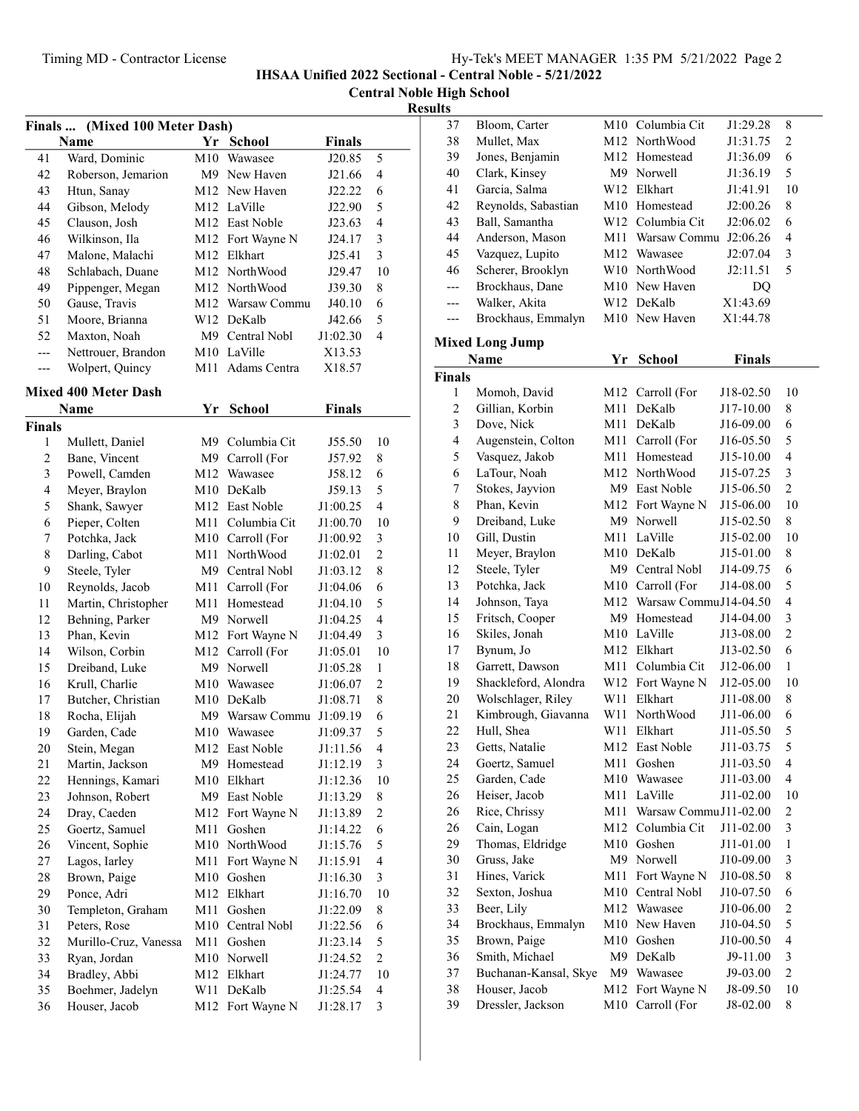IHSAA Unified 2022 Sectional - Central Noble - 5/21/2022

Central Noble High School

## **Results**

|               | Finals  (Mixed 100 Meter Dash) |     |                        |               |                         |
|---------------|--------------------------------|-----|------------------------|---------------|-------------------------|
|               | <b>Name</b>                    |     | Yr School              | Finals        |                         |
| 41            | Ward, Dominic                  |     | M10 Wawasee            | J20.85        | 5                       |
| 42            | Roberson, Jemarion             |     | M9 New Haven           | J21.66        | 4                       |
| 43            | Htun, Sanay                    |     | M12 New Haven          | J22.22        | 6                       |
| 44            | Gibson, Melody                 |     | M12 LaVille            | J22.90        | 5                       |
| 45            | Clauson, Josh                  |     | M12 East Noble         | J23.63        | 4                       |
| 46            | Wilkinson, Ila                 |     | M12 Fort Wayne N       | J24.17        | 3                       |
| 47            | Malone, Malachi                |     | M12 Elkhart            | J25.41        | 3                       |
| 48            | Schlabach, Duane               |     | M12 NorthWood          | J29.47        | 10                      |
| 49            | Pippenger, Megan               |     | M12 NorthWood          | J39.30        | 8                       |
| 50            | Gause, Travis                  |     | M12 Warsaw Commu       | J40.10        | 6                       |
| 51            | Moore, Brianna                 |     | W12 DeKalb             | J42.66        | 5                       |
| 52            | Maxton, Noah                   |     | M9 Central Nobl        | J1:02.30      | 4                       |
| ---           | Nettrouer, Brandon             |     | M10 LaVille            | X13.53        |                         |
| ---           | Wolpert, Quincy                | M11 | Adams Centra           | X18.57        |                         |
|               |                                |     |                        |               |                         |
|               | <b>Mixed 400 Meter Dash</b>    |     |                        |               |                         |
|               | <b>Name</b>                    | Yr  | <b>School</b>          | <b>Finals</b> |                         |
| <b>Finals</b> |                                | M9  | Columbia Cit           |               |                         |
| 1             | Mullett, Daniel                |     |                        | J55.50        | 10                      |
| 2             | Bane, Vincent                  |     | M9 Carroll (For        | J57.92        | 8                       |
| 3             | Powell, Camden                 |     | M12 Wawasee            | J58.12        | 6                       |
| 4             | Meyer, Braylon                 |     | M10 DeKalb             | J59.13        | 5                       |
| 5             | Shank, Sawyer                  |     | M12 East Noble         | J1:00.25      | $\overline{4}$          |
| 6             | Pieper, Colten                 | M11 | Columbia Cit           | J1:00.70      | 10                      |
| 7             | Potchka, Jack                  |     | M10 Carroll (For       | J1:00.92      | 3                       |
| 8             | Darling, Cabot                 |     | M11 NorthWood          | J1:02.01      | $\overline{2}$          |
| 9             | Steele, Tyler                  |     | M9 Central Nobl        | J1:03.12      | 8                       |
| 10            | Reynolds, Jacob                | M11 | Carroll (For           | J1:04.06      | 6                       |
| 11            | Martin, Christopher            | M11 | Homestead              | J1:04.10      | 5                       |
| 12            | Behning, Parker                |     | M9 Norwell             | J1:04.25      | $\overline{4}$          |
| 13            | Phan, Kevin                    |     | M12 Fort Wayne N       | J1:04.49      | 3                       |
| 14            | Wilson, Corbin                 |     | M12 Carroll (For       | J1:05.01      | 10                      |
| 15            | Dreiband, Luke                 |     | M9 Norwell             | J1:05.28      | 1                       |
| 16            | Krull, Charlie                 |     | M10 Wawasee            | J1:06.07      | $\overline{c}$          |
| 17            | Butcher, Christian             |     | M <sub>10</sub> DeKalb | J1:08.71      | 8                       |
| 18            | Rocha, Elijah                  |     | M9 Warsaw Commu        | J1:09.19      | 6                       |
| 19            | Garden, Cade                   |     | M10 Wawasee            | J1:09.37      | 5                       |
| 20            | Stein, Megan                   |     | M12 East Noble         | J1:11.56      | $\overline{\mathbf{4}}$ |
| 21            | Martin, Jackson                |     | M9 Homestead           | J1:12.19      | 3                       |
| 22            | Hennings, Kamari               |     | M10 Elkhart            | J1:12.36      | 10                      |
| 23            | Johnson, Robert                |     | M9 East Noble          | J1:13.29      | 8                       |
| 24            | Dray, Caeden                   | M12 | Fort Wayne N           | J1:13.89      | $\overline{c}$          |
| 25            | Goertz, Samuel                 | M11 | Goshen                 | J1:14.22      | 6                       |
| 26            | Vincent, Sophie                | M10 | NorthWood              | J1:15.76      | 5                       |
| 27            | Lagos, Iarley                  | M11 | Fort Wayne N           | J1:15.91      | 4                       |
| 28            | Brown, Paige                   | M10 | Goshen                 | J1:16.30      | 3                       |
| 29            | Ponce, Adri                    | M12 | Elkhart                | J1:16.70      | 10                      |
| 30            | Templeton, Graham              | M11 | Goshen                 | J1:22.09      | 8                       |
| 31            | Peters, Rose                   | M10 | Central Nobl           | J1:22.56      | 6                       |
| 32            | Murillo-Cruz, Vanessa          | M11 | Goshen                 | J1:23.14      | 5                       |
| 33            | Ryan, Jordan                   |     | M10 Norwell            | J1:24.52      | $\overline{c}$          |
| 34            | Bradley, Abbi                  | M12 | Elkhart                | J1:24.77      | 10                      |
| 35            | Boehmer, Jadelyn               | W11 | DeKalb                 | J1:25.54      | $\overline{4}$          |
| 36            | Houser, Jacob                  | M12 | Fort Wayne N           | J1:28.17      | 3                       |

| 37                      | Bloom, Carter          |     | M10 Columbia Cit          | J1:29.28               | 8                       |
|-------------------------|------------------------|-----|---------------------------|------------------------|-------------------------|
| 38                      | Mullet, Max            |     | M12 NorthWood             | J1:31.75               | $\overline{c}$          |
| 39                      | Jones, Benjamin        |     | M12 Homestead             | J1:36.09               | 6                       |
| 40                      | Clark, Kinsey          |     | M9 Norwell                | J1:36.19               | 5                       |
| 41                      | Garcia, Salma          |     | W12 Elkhart               | J1:41.91               | 10                      |
| 42                      | Reynolds, Sabastian    |     | M10 Homestead             | J2:00.26               | 8                       |
| 43                      | Ball, Samantha         |     | W12 Columbia Cit          | J2:06.02               | 6                       |
| 44                      | Anderson, Mason        |     | M11 Warsaw Commu J2:06.26 |                        | $\overline{4}$          |
| 45                      | Vazquez, Lupito        |     | M12 Wawasee               | J2:07.04               | $\mathfrak{Z}$          |
| 46                      | Scherer, Brooklyn      |     | W10 NorthWood             | J2:11.51               | 5                       |
| ---                     | Brockhaus, Dane        |     | M10 New Haven             | D <sub>O</sub>         |                         |
| ---                     | Walker, Akita          |     | W12 DeKalb                | X1:43.69               |                         |
| ---                     | Brockhaus, Emmalyn     |     | M10 New Haven             | X1:44.78               |                         |
|                         | <b>Mixed Long Jump</b> |     |                           |                        |                         |
|                         | Name                   | Yr  | <b>School</b>             | <b>Finals</b>          |                         |
|                         |                        |     |                           |                        |                         |
| <b>Finals</b>           |                        |     | M12 Carroll (For          |                        |                         |
| 1<br>$\overline{c}$     | Momoh, David           | M11 | DeKalb                    | J18-02.50<br>J17-10.00 | 10                      |
|                         | Gillian, Korbin        |     |                           |                        | 8                       |
| $\overline{\mathbf{3}}$ | Dove, Nick             |     | M11 DeKalb                | J16-09.00              | 6                       |
| $\overline{\mathbf{4}}$ | Augenstein, Colton     |     | M11 Carroll (For          | J16-05.50              | 5<br>$\overline{4}$     |
| 5                       | Vasquez, Jakob         |     | M11 Homestead             | J15-10.00              |                         |
| 6                       | LaTour, Noah           |     | M12 NorthWood             | J15-07.25              | $\overline{\mathbf{3}}$ |
| 7                       | Stokes, Jayvion        |     | M9 East Noble             | J15-06.50              | $\overline{c}$          |
| 8                       | Phan, Kevin            |     | M12 Fort Wayne N          | J15-06.00              | 10                      |
| 9                       | Dreiband, Luke         |     | M9 Norwell                | J15-02.50              | 8                       |
| 10                      | Gill, Dustin           |     | M11 LaVille               | J15-02.00              | 10                      |
| 11                      | Meyer, Braylon         |     | M10 DeKalb                | J15-01.00              | 8                       |
| 12                      | Steele, Tyler          |     | M9 Central Nobl           | J14-09.75              | 6                       |
| 13                      | Potchka, Jack          |     | M10 Carroll (For          | J14-08.00              | 5                       |
| 14                      | Johnson, Taya          |     | M12 Warsaw CommuJ14-04.50 |                        | $\overline{4}$          |
| 15                      | Fritsch, Cooper        |     | M9 Homestead              | J14-04.00              | $\mathfrak{Z}$          |
| 16                      | Skiles, Jonah          |     | M10 LaVille               | J13-08.00              | $\overline{2}$          |
| 17                      | Bynum, Jo              |     | M12 Elkhart               | J13-02.50              | 6                       |
| 18                      | Garrett, Dawson        |     | M11 Columbia Cit          | J12-06.00              | $\mathbf{1}$            |
| 19                      | Shackleford, Alondra   |     | W12 Fort Wayne N          | J12-05.00              | 10                      |
| 20                      | Wolschlager, Riley     | W11 | Elkhart                   | J11-08.00              | 8                       |
| 21                      | Kimbrough, Giavanna    | W11 | NorthWood                 | J11-06.00              | 6                       |
| 22                      | Hull, Shea             | W11 | Elkhart                   | J11-05.50              | 5                       |
| 23                      | Getts, Natalie         | M12 | East Noble                | J11-03.75              | 5                       |
| 24                      | Goertz, Samuel         | M11 | Goshen                    | J11-03.50              | 4                       |
| 25                      | Garden, Cade           | M10 | Wawasee                   | J11-03.00              | $\overline{4}$          |
| 26                      | Heiser, Jacob          | M11 | LaVille                   | J11-02.00              | 10                      |
| 26                      | Rice, Chrissy          | M11 | Warsaw Commu J11-02.00    |                        | $\sqrt{2}$              |
| 26                      | Cain, Logan            |     | M12 Columbia Cit          | J11-02.00              | $\mathfrak{Z}$          |
| 29                      | Thomas, Eldridge       |     | M10 Goshen                | J11-01.00              | $\mathbf{1}$            |
| 30                      | Gruss, Jake            |     | M9 Norwell                | J10-09.00              | $\mathfrak{Z}$          |
| 31                      | Hines, Varick          | M11 | Fort Wayne N              | J10-08.50              | $\,$ $\,$               |
| 32                      | Sexton, Joshua         | M10 | Central Nobl              | J10-07.50              | 6                       |
| 33                      | Beer, Lily             |     | M12 Wawasee               | J10-06.00              | $\boldsymbol{2}$        |
| 34                      | Brockhaus, Emmalyn     |     | M10 New Haven             | J10-04.50              | 5                       |
| 35                      | Brown, Paige           | M10 | Goshen                    | J10-00.50              | $\overline{\mathbf{4}}$ |
| 36                      | Smith, Michael         | M9  | DeKalb                    | J9-11.00               | 3                       |
| 37                      | Buchanan-Kansal, Skye  | M9  | Wawasee                   | J9-03.00               | $\overline{c}$          |
| 38                      | Houser, Jacob          | M12 | Fort Wayne N              | J8-09.50               | 10                      |
| 39                      | Dressler, Jackson      | M10 | Carroll (For              | J8-02.00               | $\,$ 8 $\,$             |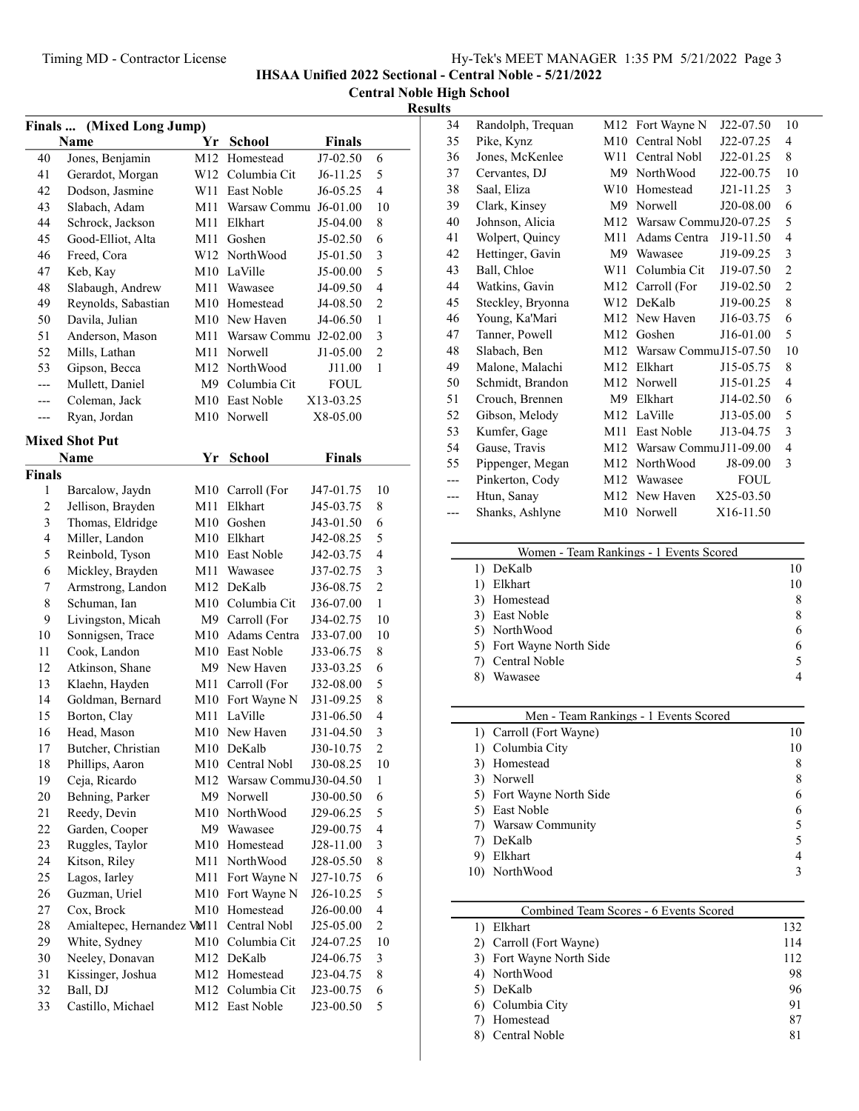IHSAA Unified 2022 Sectional - Central Noble - 5/21/2022

Central Noble High School

## **Results**

 $\overline{\phantom{0}}$ 

| Finals         | (Mixed Long Jump)          |     |                           |               |                         |
|----------------|----------------------------|-----|---------------------------|---------------|-------------------------|
|                | Name                       | Yr  | <b>School</b>             | <b>Finals</b> |                         |
| 40             | Jones, Benjamin            | M12 | Homestead                 | J7-02.50      | 6                       |
| 41             | Gerardot, Morgan           |     | W12 Columbia Cit          | $J6-11.25$    | 5                       |
| 42             | Dodson, Jasmine            | W11 | East Noble                | J6-05.25      | $\overline{4}$          |
| 43             | Slabach, Adam              | M11 | Warsaw Commu J6-01.00     |               | 10                      |
| 44             | Schrock, Jackson           | M11 | Elkhart                   | J5-04.00      | 8                       |
| 45             | Good-Elliot, Alta          | M11 | Goshen                    | J5-02.50      | 6                       |
| 46             | Freed, Cora                |     | W12 NorthWood             | J5-01.50      | 3                       |
| 47             | Keb, Kay                   |     | M10 LaVille               | J5-00.00      | 5                       |
| 48             | Slabaugh, Andrew           | M11 | Wawasee                   | J4-09.50      | $\overline{4}$          |
| 49             | Reynolds, Sabastian        |     | M10 Homestead             | J4-08.50      | $\overline{2}$          |
| 50             | Davila, Julian             |     | M10 New Haven             | J4-06.50      | $\mathbf{1}$            |
| 51             | Anderson, Mason            |     | M11 Warsaw Commu J2-02.00 |               | 3                       |
| 52             | Mills, Lathan              | M11 | Norwell                   | J1-05.00      | $\overline{c}$          |
| 53             | Gipson, Becca              |     | M12 NorthWood             | J11.00        | 1                       |
| ---            | Mullett, Daniel            |     | M9 Columbia Cit           | FOUL          |                         |
| ---            | Coleman, Jack              |     | M10 East Noble            | X13-03.25     |                         |
| ---            | Ryan, Jordan               | M10 | Norwell                   | X8-05.00      |                         |
|                |                            |     |                           |               |                         |
|                | <b>Mixed Shot Put</b>      |     |                           |               |                         |
|                | Name                       | Yr  | <b>School</b>             | <b>Finals</b> |                         |
| <b>Finals</b>  |                            |     |                           |               |                         |
| 1              | Barcalow, Jaydn            | M10 | Carroll (For              | J47-01.75     | 10                      |
| $\overline{c}$ | Jellison, Brayden          | M11 | Elkhart                   | J45-03.75     | 8                       |
| 3              | Thomas, Eldridge           |     | M10 Goshen                | J43-01.50     | 6                       |
| $\overline{4}$ | Miller, Landon             |     | M10 Elkhart               | J42-08.25     | 5                       |
| 5              | Reinbold, Tyson            |     | M10 East Noble            | J42-03.75     | $\overline{4}$          |
| 6              | Mickley, Brayden           |     | M11 Wawasee               | J37-02.75     | $\mathfrak{Z}$          |
| 7              | Armstrong, Landon          | M12 | DeKalb                    | J36-08.75     | $\overline{c}$          |
| 8              | Schuman, Ian               |     | M10 Columbia Cit          | J36-07.00     | $\mathbf{1}$            |
| 9              | Livingston, Micah          |     | M9 Carroll (For           | J34-02.75     | 10                      |
| 10             | Sonnigsen, Trace           | M10 | Adams Centra              | J33-07.00     | 10                      |
| 11             | Cook, Landon               |     | M10 East Noble            | J33-06.75     | 8                       |
| 12             | Atkinson, Shane            |     | M9 New Haven              | J33-03.25     | 6                       |
| 13             | Klaehn, Hayden             | M11 | Carroll (For              | J32-08.00     | 5                       |
| 14             | Goldman, Bernard           |     | M10 Fort Wayne N          | J31-09.25     | 8                       |
| 15             | Borton, Clay               | M11 | LaVille                   | J31-06.50     | $\overline{4}$          |
| 16             | Head, Mason                |     | M10 New Haven             | J31-04.50     | 3                       |
| 17             | Butcher, Christian         |     | M10 DeKalb                | J30-10.75     | $\overline{c}$          |
| 18             | Phillips, Aaron            |     | M10 Central Nobl          | J30-08.25     | 10                      |
| 19             | Ceja, Ricardo              | M12 | Warsaw CommuJ30-04.50     |               | $\mathbf{1}$            |
| 20             | Behning, Parker            | M9  | Norwell                   | J30-00.50     | 6                       |
| 21             | Reedy, Devin               | M10 | NorthWood                 | J29-06.25     | 5                       |
| 22             | Garden, Cooper             | M9  | Wawasee                   | J29-00.75     | 4                       |
| 23             | Ruggles, Taylor            | M10 | Homestead                 | J28-11.00     | 3                       |
| 24             | Kitson, Riley              | M11 | NorthWood                 | J28-05.50     | 8                       |
| 25             | Lagos, Iarley              | M11 | Fort Wayne N              | J27-10.75     | 6                       |
| 26             | Guzman, Uriel              | M10 | Fort Wayne N              | J26-10.25     | 5                       |
| 27             | Cox, Brock                 | M10 | Homestead                 | J26-00.00     | $\overline{\mathbf{4}}$ |
| 28             | Amialtepec, Hernandez VM11 |     | Central Nobl              | J25-05.00     | $\overline{c}$          |
| 29             | White, Sydney              | M10 | Columbia Cit              | J24-07.25     | 10                      |
| 30             | Neeley, Donavan            | M12 | DeKalb                    | J24-06.75     | 3                       |
| 31             | Kissinger, Joshua          | M12 | Homestead                 | J23-04.75     | 8                       |
| 32             | Ball, DJ                   |     | M12 Columbia Cit          | J23-00.75     | 6                       |
| 33             | Castillo, Michael          | M12 | East Noble                | J23-00.50     | 5                       |
|                |                            |     |                           |               |                         |

| 34  | Randolph, Trequan | M12             | Fort Wayne N           | J22-07.50   | 10             |
|-----|-------------------|-----------------|------------------------|-------------|----------------|
| 35  | Pike, Kynz        | M10             | Central Nobl           | J22-07.25   | $\overline{4}$ |
| 36  | Jones, McKenlee   | W11             | Central Nobl           | $J22-01.25$ | 8              |
| 37  | Cervantes, DJ     | M <sub>9</sub>  | NorthWood              | J22-00.75   | 10             |
| 38  | Saal, Eliza       | W <sub>10</sub> | Homestead              | J21-11.25   | 3              |
| 39  | Clark, Kinsey     | M <sub>9</sub>  | Norwell                | J20-08.00   | 6              |
| 40  | Johnson, Alicia   | M12             | Warsaw Commu J20-07.25 |             | 5              |
| 41  | Wolpert, Quincy   | M11             | Adams Centra           | J19-11.50   | $\overline{4}$ |
| 42  | Hettinger, Gavin  | M <sup>9</sup>  | Wawasee                | J19-09.25   | 3              |
| 43  | Ball, Chloe       | W11             | Columbia Cit           | J19-07.50   | $\overline{2}$ |
| 44  | Watkins, Gavin    | M12             | Carroll (For           | J19-02.50   | $\overline{2}$ |
| 45  | Steckley, Bryonna | W12             | DeKalb                 | J19-00.25   | 8              |
| 46  | Young, Ka'Mari    | M12             | New Haven              | J16-03.75   | 6              |
| 47  | Tanner, Powell    | M <sub>12</sub> | Goshen                 | J16-01.00   | 5              |
| 48  | Slabach, Ben      | M12             | Warsaw CommuJ15-07.50  |             | 10             |
| 49  | Malone, Malachi   | M12             | Elkhart                | J15-05.75   | 8              |
| 50  | Schmidt, Brandon  | M12             | Norwell                | J15-01.25   | $\overline{4}$ |
| 51  | Crouch, Brennen   | M9              | Elkhart                | J14-02.50   | 6              |
| 52  | Gibson, Melody    | M12             | LaVille                | J13-05.00   | 5              |
| 53  | Kumfer, Gage      | M11             | East Noble             | J13-04.75   | 3              |
| 54  | Gause, Travis     | M <sub>12</sub> | Warsaw Commu J11-09.00 |             | $\overline{4}$ |
| 55  | Pippenger, Megan  | M12             | NorthWood              | J8-09.00    | 3              |
| --- | Pinkerton, Cody   | M12             | Wawasee                | <b>FOUL</b> |                |
| --- | Htun, Sanay       | M12             | New Haven              | X25-03.50   |                |
| --- | Shanks, Ashlyne   | M10             | Norwell                | X16-11.50   |                |
|     |                   |                 |                        |             |                |

| Women - Team Rankings - 1 Events Scored |   |
|-----------------------------------------|---|
| 1) DeKalb                               |   |
| Elkhart                                 |   |
| 3) Homestead                            |   |
| 3) East Noble                           | 8 |
| 5) NorthWood                            |   |
| 5) Fort Wayne North Side                |   |
| 7) Central Noble                        |   |
| Wawasee                                 |   |

| 8 |
|---|
| 8 |
|   |
|   |
|   |
| 5 |
|   |
|   |
|   |

| Combined Team Scores - 6 Events Scored |     |
|----------------------------------------|-----|
| Elkhart                                | 132 |
| 2) Carroll (Fort Wayne)                | 114 |
| 3) Fort Wayne North Side               | 112 |
| 4) NorthWood                           | 98  |
| 5) DeKalb                              | 96  |
| 6) Columbia City                       | 91  |
| Homestead                              | 87  |
| Central Noble                          |     |